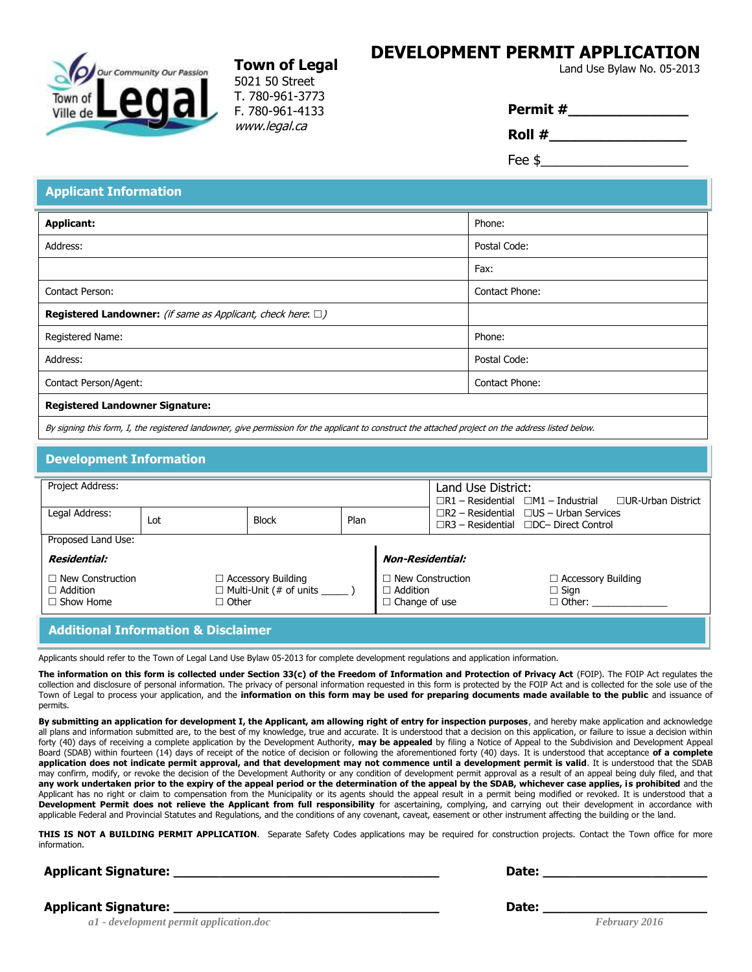#### **DEVELOPMENT PERMIT APPLICATION Town of Legal Land Use Bylaw No. 05-2013**



5021 50 Street T. 780-961-3773 F. 780-961-4133 www.legal.ca

| Permit# |  |  |
|---------|--|--|
| Roll #  |  |  |
|         |  |  |

Fee  $\frac{1}{2}$ 

## **Applicant Information**

| <b>Applicant:</b>                                                           | Phone:         |  |  |  |
|-----------------------------------------------------------------------------|----------------|--|--|--|
| Address:                                                                    | Postal Code:   |  |  |  |
|                                                                             | Fax:           |  |  |  |
| Contact Person:                                                             | Contact Phone: |  |  |  |
| <b>Registered Landowner:</b> (if same as Applicant, check here: $\square$ ) |                |  |  |  |
| Registered Name:                                                            | Phone:         |  |  |  |
| Address:                                                                    | Postal Code:   |  |  |  |
| Contact Person/Agent:                                                       | Contact Phone: |  |  |  |
| <b>Registered Landowner Signature:</b>                                      |                |  |  |  |

By signing this form, I, the registered landowner, give permission for the applicant to construct the attached project on the address listed below.

#### **Development Information**

| Project Address:                                               |              |                                                                      | Land Use District:<br>□ □ UR-Urban District<br>$\Box R1 - Residential \Box M1 - Industrial$ |                                         |                                                                                                         |                                                           |
|----------------------------------------------------------------|--------------|----------------------------------------------------------------------|---------------------------------------------------------------------------------------------|-----------------------------------------|---------------------------------------------------------------------------------------------------------|-----------------------------------------------------------|
| Legal Address:                                                 | Lot          | <b>Block</b>                                                         | Plan                                                                                        |                                         | $\Box$ R2 – Residential $\Box$ US – Urban Services<br>$\Box$ R3 – Residential $\Box$ DC– Direct Control |                                                           |
| Proposed Land Use:                                             |              |                                                                      |                                                                                             |                                         |                                                                                                         |                                                           |
| <b>Residential:</b>                                            |              |                                                                      |                                                                                             | <b>Non-Residential:</b>                 |                                                                                                         |                                                           |
| $\Box$ New Construction<br>$\Box$ Addition<br>$\Box$ Show Home | $\Box$ Other | $\Box$ Accessory Building<br>$\Box$ Multi-Unit (# of units ________) |                                                                                             | $\Box$ Addition<br>$\Box$ Change of use | New Construction                                                                                        | $\Box$ Accessory Building<br>$\Box$ Sign<br>$\Box$ Other: |
| <b>Additional Information &amp; Disclaimer</b>                 |              |                                                                      |                                                                                             |                                         |                                                                                                         |                                                           |

Applicants should refer to the Town of Legal Land Use Bylaw 05-2013 for complete development regulations and application information.

**The information on this form is collected under Section 33(c) of the Freedom of Information and Protection of Privacy Act** (FOIP). The FOIP Act regulates the collection and disclosure of personal information. The privacy of personal information requested in this form is protected by the FOIP Act and is collected for the sole use of the Town of Legal to process your application, and the **information on this form may be used for preparing documents made available to the public** and issuance of permits.

**By submitting an application for development I, the Applicant, am allowing right of entry for inspection purposes**, and hereby make application and acknowledge all plans and information submitted are, to the best of my knowledge, true and accurate. It is understood that a decision on this application, or failure to issue a decision within forty (40) days of receiving a complete application by the Development Authority, **may be appealed** by filing a Notice of Appeal to the Subdivision and Development Appeal Board (SDAB) within fourteen (14) days of receipt of the notice of decision or following the aforementioned forty (40) days. It is understood that acceptance **of a complete application does not indicate permit approval, and that development may not commence until a development permit is valid**. It is understood that the SDAB may confirm, modify, or revoke the decision of the Development Authority or any condition of development permit approval as a result of an appeal being duly filed, and that **any work undertaken prior to the expiry of the appeal period or the determination of the appeal by the SDAB, whichever case applies, is prohibited** and the Applicant has no right or claim to compensation from the Municipality or its agents should the appeal result in a permit being modified or revoked. It is understood that a **Development Permit does not relieve the Applicant from full responsibility** for ascertaining, complying, and carrying out their development in accordance with applicable Federal and Provincial Statutes and Regulations, and the conditions of any covenant, caveat, easement or other instrument affecting the building or the land.

**THIS IS NOT A BUILDING PERMIT APPLICATION**. Separate Safety Codes applications may be required for construction projects. Contact the Town office for more information.

#### **Applicant Signature: \_\_\_\_\_\_\_\_\_\_\_\_\_\_\_\_\_\_\_\_\_\_\_\_\_\_\_\_\_\_\_\_\_\_ Date: \_\_\_\_\_\_\_\_\_\_\_\_\_\_\_\_\_\_\_\_\_**

**Applicant Signature: \_\_\_\_\_\_\_\_\_\_\_\_\_\_\_\_\_\_\_\_\_\_\_\_\_\_\_\_\_\_\_\_\_\_ Date: \_\_\_\_\_\_\_\_\_\_\_\_\_\_\_\_\_\_\_\_\_**

**ant Signature:**<br> *a1* - *development permit application.doc February 2016 February 2016*